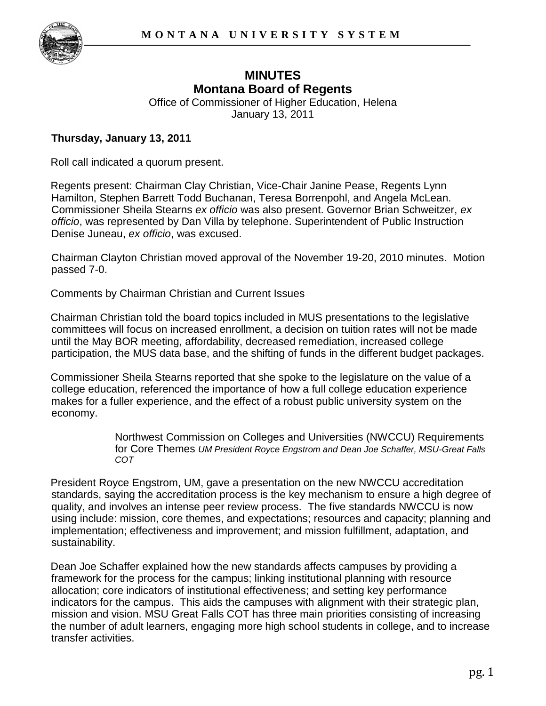

# **MINUTES Montana Board of Regents**

Office of Commissioner of Higher Education, Helena January 13, 2011

#### **Thursday, January 13, 2011**

Roll call indicated a quorum present.

Regents present: Chairman Clay Christian, Vice-Chair Janine Pease, Regents Lynn Hamilton, Stephen Barrett Todd Buchanan, Teresa Borrenpohl, and Angela McLean. Commissioner Sheila Stearns *ex officio* was also present. Governor Brian Schweitzer, *ex officio*, was represented by Dan Villa by telephone. Superintendent of Public Instruction Denise Juneau, *ex officio*, was excused.

Chairman Clayton Christian moved approval of the November 19-20, 2010 minutes. Motion passed 7-0.

Comments by Chairman Christian and Current Issues

Chairman Christian told the board topics included in MUS presentations to the legislative committees will focus on increased enrollment, a decision on tuition rates will not be made until the May BOR meeting, affordability, decreased remediation, increased college participation, the MUS data base, and the shifting of funds in the different budget packages.

Commissioner Sheila Stearns reported that she spoke to the legislature on the value of a college education, referenced the importance of how a full college education experience makes for a fuller experience, and the effect of a robust public university system on the economy.

> Northwest Commission on Colleges and Universities (NWCCU) Requirements for Core Themes *UM President Royce Engstrom and Dean Joe Schaffer, MSU-Great Falls COT*

President Royce Engstrom, UM, gave a presentation on the new NWCCU accreditation standards, saying the accreditation process is the key mechanism to ensure a high degree of quality, and involves an intense peer review process. The five standards NWCCU is now using include: mission, core themes, and expectations; resources and capacity; planning and implementation; effectiveness and improvement; and mission fulfillment, adaptation, and sustainability.

Dean Joe Schaffer explained how the new standards affects campuses by providing a framework for the process for the campus; linking institutional planning with resource allocation; core indicators of institutional effectiveness; and setting key performance indicators for the campus. This aids the campuses with alignment with their strategic plan, mission and vision. MSU Great Falls COT has three main priorities consisting of increasing the number of adult learners, engaging more high school students in college, and to increase transfer activities.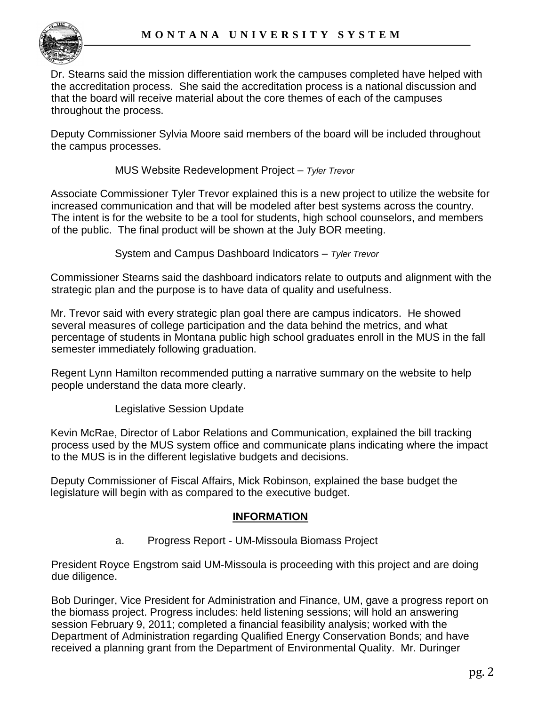

Dr. Stearns said the mission differentiation work the campuses completed have helped with the accreditation process. She said the accreditation process is a national discussion and that the board will receive material about the core themes of each of the campuses throughout the process.

Deputy Commissioner Sylvia Moore said members of the board will be included throughout the campus processes.

MUS Website Redevelopment Project – *Tyler Trevor*

Associate Commissioner Tyler Trevor explained this is a new project to utilize the website for increased communication and that will be modeled after best systems across the country. The intent is for the website to be a tool for students, high school counselors, and members of the public. The final product will be shown at the July BOR meeting.

System and Campus Dashboard Indicators – *Tyler Trevor*

Commissioner Stearns said the dashboard indicators relate to outputs and alignment with the strategic plan and the purpose is to have data of quality and usefulness.

Mr. Trevor said with every strategic plan goal there are campus indicators. He showed several measures of college participation and the data behind the metrics, and what percentage of students in Montana public high school graduates enroll in the MUS in the fall semester immediately following graduation.

Regent Lynn Hamilton recommended putting a narrative summary on the website to help people understand the data more clearly.

Legislative Session Update

Kevin McRae, Director of Labor Relations and Communication, explained the bill tracking process used by the MUS system office and communicate plans indicating where the impact to the MUS is in the different legislative budgets and decisions.

Deputy Commissioner of Fiscal Affairs, Mick Robinson, explained the base budget the legislature will begin with as compared to the executive budget.

### **INFORMATION**

a. Progress Report - UM-Missoula Biomass Project

President Royce Engstrom said UM-Missoula is proceeding with this project and are doing due diligence.

Bob Duringer, Vice President for Administration and Finance, UM, gave a progress report on the biomass project. Progress includes: held listening sessions; will hold an answering session February 9, 2011; completed a financial feasibility analysis; worked with the Department of Administration regarding Qualified Energy Conservation Bonds; and have received a planning grant from the Department of Environmental Quality. Mr. Duringer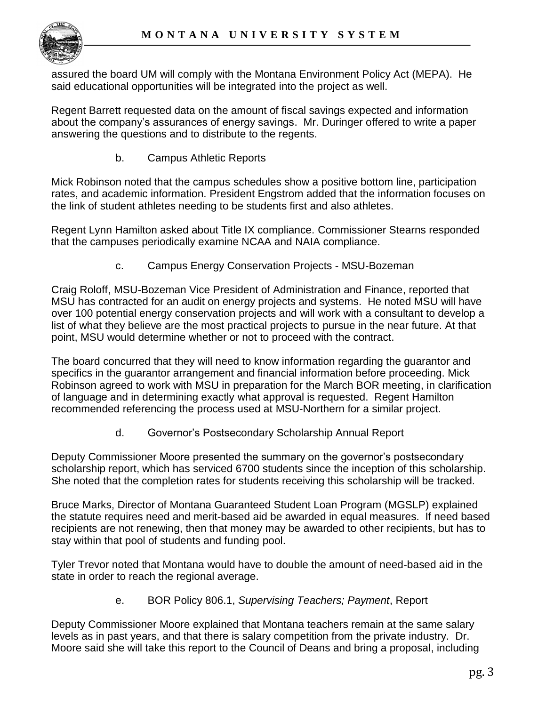

assured the board UM will comply with the Montana Environment Policy Act (MEPA). He said educational opportunities will be integrated into the project as well.

Regent Barrett requested data on the amount of fiscal savings expected and information about the company's assurances of energy savings. Mr. Duringer offered to write a paper answering the questions and to distribute to the regents.

b. Campus Athletic Reports

Mick Robinson noted that the campus schedules show a positive bottom line, participation rates, and academic information. President Engstrom added that the information focuses on the link of student athletes needing to be students first and also athletes.

Regent Lynn Hamilton asked about Title IX compliance. Commissioner Stearns responded that the campuses periodically examine NCAA and NAIA compliance.

c. Campus Energy Conservation Projects - MSU-Bozeman

Craig Roloff, MSU-Bozeman Vice President of Administration and Finance, reported that MSU has contracted for an audit on energy projects and systems. He noted MSU will have over 100 potential energy conservation projects and will work with a consultant to develop a list of what they believe are the most practical projects to pursue in the near future. At that point, MSU would determine whether or not to proceed with the contract.

The board concurred that they will need to know information regarding the guarantor and specifics in the guarantor arrangement and financial information before proceeding. Mick Robinson agreed to work with MSU in preparation for the March BOR meeting, in clarification of language and in determining exactly what approval is requested. Regent Hamilton recommended referencing the process used at MSU-Northern for a similar project.

d. Governor's Postsecondary Scholarship Annual Report

Deputy Commissioner Moore presented the summary on the governor's postsecondary scholarship report, which has serviced 6700 students since the inception of this scholarship. She noted that the completion rates for students receiving this scholarship will be tracked.

Bruce Marks, Director of Montana Guaranteed Student Loan Program (MGSLP) explained the statute requires need and merit-based aid be awarded in equal measures. If need based recipients are not renewing, then that money may be awarded to other recipients, but has to stay within that pool of students and funding pool.

Tyler Trevor noted that Montana would have to double the amount of need-based aid in the state in order to reach the regional average.

e. BOR Policy 806.1, *Supervising Teachers; Payment*, Report

Deputy Commissioner Moore explained that Montana teachers remain at the same salary levels as in past years, and that there is salary competition from the private industry. Dr. Moore said she will take this report to the Council of Deans and bring a proposal, including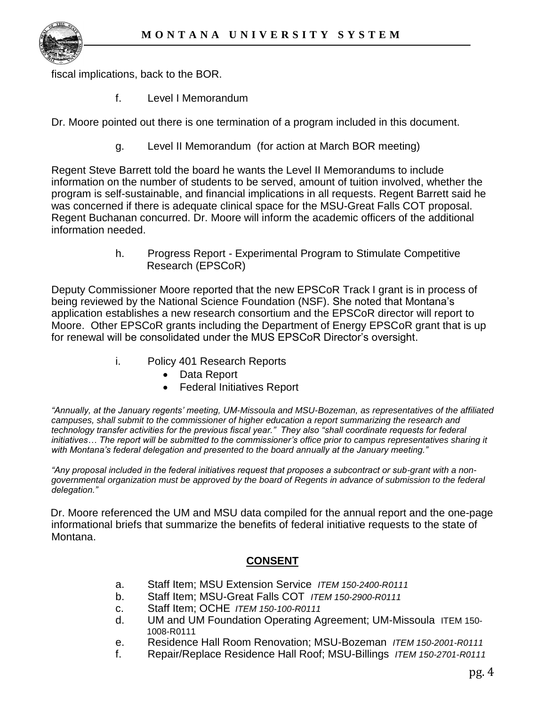

fiscal implications, back to the BOR.

f. Level I Memorandum

Dr. Moore pointed out there is one termination of a program included in this document.

g. Level II Memorandum (for action at March BOR meeting)

Regent Steve Barrett told the board he wants the Level II Memorandums to include information on the number of students to be served, amount of tuition involved, whether the program is self-sustainable, and financial implications in all requests. Regent Barrett said he was concerned if there is adequate clinical space for the MSU-Great Falls COT proposal. Regent Buchanan concurred. Dr. Moore will inform the academic officers of the additional information needed.

> h. Progress Report - Experimental Program to Stimulate Competitive Research (EPSCoR)

Deputy Commissioner Moore reported that the new EPSCoR Track I grant is in process of being reviewed by the National Science Foundation (NSF). She noted that Montana's application establishes a new research consortium and the EPSCoR director will report to Moore. Other EPSCoR grants including the Department of Energy EPSCoR grant that is up for renewal will be consolidated under the MUS EPSCoR Director's oversight.

- i. Policy 401 Research Reports
	- Data Report
	- Federal Initiatives Report

*"Annually, at the January regents' meeting, UM-Missoula and MSU-Bozeman, as representatives of the affiliated campuses, shall submit to the commissioner of higher education a report summarizing the research and technology transfer activities for the previous fiscal year." They also "shall coordinate requests for federal initiatives… The report will be submitted to the commissioner's office prior to campus representatives sharing it with Montana's federal delegation and presented to the board annually at the January meeting."* 

*"Any proposal included in the federal initiatives request that proposes a subcontract or sub-grant with a nongovernmental organization must be approved by the board of Regents in advance of submission to the federal delegation."*

Dr. Moore referenced the UM and MSU data compiled for the annual report and the one-page informational briefs that summarize the benefits of federal initiative requests to the state of Montana.

## **CONSENT**

- a. Staff Item; MSU Extension Service *ITEM 150-2400-R0111*
- b. Staff Item; MSU-Great Falls COT *ITEM 150-2900-R0111*
- c. Staff Item; OCHE *ITEM 150-100-R0111*
- d. UM and UM Foundation Operating Agreement; UM-Missoula ITEM 150- 1008-R0111
- e. Residence Hall Room Renovation; MSU-Bozeman *ITEM 150-2001-R0111*
- f. Repair/Replace Residence Hall Roof; MSU-Billings *ITEM 150-2701-R0111*